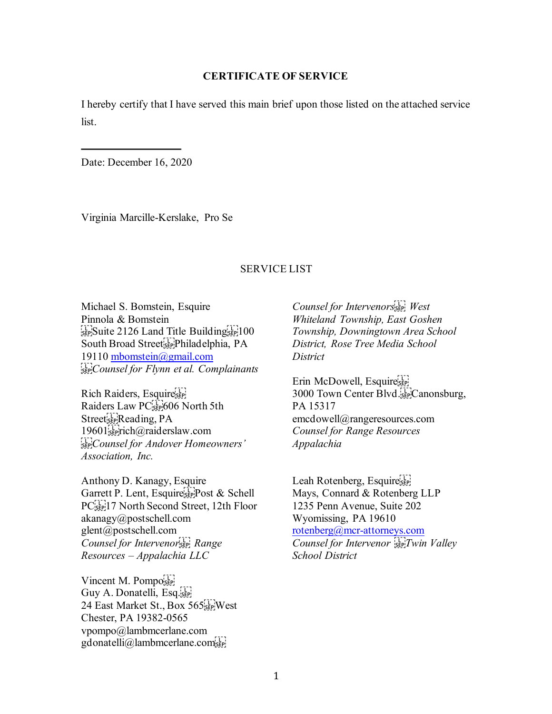## **CERTIFICATE OF SERVICE**

I hereby certify that I have served this main brief upon those listed on the attached service list.

Date: December 16, 2020

Virginia Marcille-Kerslake, Pro Se

## SERVICE LIST

Michael S. Bomstein, Esquire Pinnola & Bomstein SEP Suite 2126 Land Title Building South Broad Street<sup>[11</sup>]<sup>p</sup>hiladelphia, PA 19110 [mbomstein@gmail.com](mailto:mbomstein@gmail.com) *Counsel for Flynn et al. Complainants* 

Rich Raiders, Esquire Raiders Law  $PC$ <sup>[1</sup>]<sub>5EP</sub> $606$  North 5th Street<sub>sep</sub>Reading, PA 19601<sup>5</sup><sub>5</sub>Fich@raiderslaw.com *Counsel for Andover Homeowners' Association, Inc.* 

Anthony D. Kanagy, Esquire Garrett P. Lent, Esquire<sup>[5]</sup>Post & Schell PC<sup>[17]</sup><sub>SEP</sub><sup>17</sup> North Second Street, 12th Floor akanagy@postschell.com glent@postschell.com *Counsel for Intervenor Range Resources – Appalachia LLC* 

Vincent M. Pompo Guy A. Donatelli, Esq. 24 East Market St., Box 565<sup>[1]</sup> West Chester, PA 19382-0565 vpompo@lambmcerlane.com gdonatelli@lambmcerlane.com

*Counsel for Intervenors
 West Whiteland Township, East Goshen Township, Downingtown Area School District, Rose Tree Media School District* 

Erin McDowell, Esquire 3000 Town Center Blvd.
Canonsburg, PA 15317 emcdowell@rangeresources.com *Counsel for Range Resources Appalachia* 

Leah Rotenberg, Esquires Mays, Connard & Rotenberg LLP 1235 Penn Avenue, Suite 202 Wyomissing, PA 19610 [rotenberg@mcr-attorneys.com](mailto:rotenberg@mcr-attorneys.com) *Counsel for Intervenor Twin Valley School District*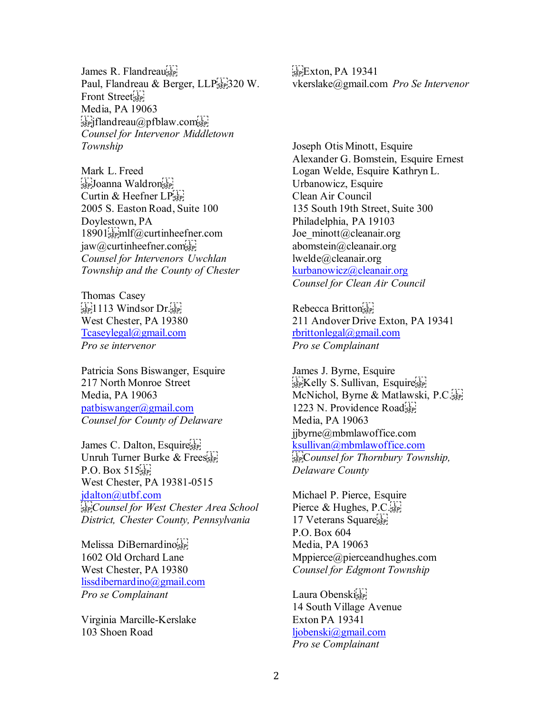James R. Flandreauser Paul, Flandreau & Berger, LLP[F][]320 W. Front Street<sub>ser</sub> Media, PA 19063  $s_{\text{eff}}$  flandreau $\omega$ pfblaw.com $s_{\text{eff}}$ *Counsel for Intervenor Middletown Township* 

Mark L. Freed see Joanna Waldron's Curtin & Heefner  $LP_{\text{SEP}}$ 2005 S. Easton Road, Suite 100 Doylestown, PA  $18901$ <sub>sep</sub>mlf@curtinheefner.com  $jaw@cutinheefner.com<sub>seP</sub>$ *Counsel for Intervenors Uwchlan Township and the County of Chester* 

Thomas Casey  $\sum_{s \in P}$  1113 Windsor Dr. West Chester, PA 19380 [Tcaseylegal@gmail.com](mailto:Tcaseylegal@gmail.com) *Pro se intervenor*

Patricia Sons Biswanger, Esquire 217 North Monroe Street Media, PA 19063 [patbiswanger@gmail.com](mailto:patbiswanger@gmail.com) *Counsel for County of Delaware*

James C. Dalton, Esquires Unruh Turner Burke & Frees  $P.O. Box 515$ West Chester, PA 19381-0515 [jdalton@utbf.com](mailto:jdalton@utbf.com) *Counsel for West Chester Area School District, Chester County, Pennsylvania*

Melissa DiBernardinoser 1602 Old Orchard Lane West Chester, PA 19380 [lissdibernardino@gmail.com](mailto:lissdibernardino@gmail.com) *Pro se Complainant* 

Virginia Marcille-Kerslake 103 Shoen Road

 $E_{\text{EP}}$ Exton, PA 19341 vkerslake@gmail.com *Pro Se Intervenor* 

Joseph Otis Minott, Esquire Alexander G. Bomstein, Esquire Ernest Logan Welde, Esquire Kathryn L. Urbanowicz, Esquire Clean Air Council 135 South 19th Street, Suite 300 Philadelphia, PA 19103 Joe\_minott@cleanair.org abomstein@cleanair.org lwelde@cleanair.org [kurbanowicz@cleanair.org](mailto:kurbanowicz@cleanair.org) *Counsel for Clean Air Council* 

Rebecca Britton 211 Andover Drive Exton, PA 19341 [rbrittonlegal@gmail.com](mailto:rbrittonlegal@gmail.com) *Pro se Complainant* 

James J. Byrne, Esquire see Kelly S. Sullivan, Esquiresee McNichol, Byrne & Matlawski, P.C. 1223 N. Providence Road Media, PA 19063 jjbyrne@mbmlawoffice.com [ksullivan@mbmlawoffice.com](mailto:ksullivan@mbmlawoffice.com) C*ounsel for Thornbury Township, Delaware County* 

Michael P. Pierce, Esquire Pierce & Hughes, P.C. 17 Veterans Square<sup>sLP</sup> P.O. Box 604 Media, PA 19063 Mppierce@pierceandhughes.com *Counsel for Edgmont Township* 

Laura Obenskiser 14 South Village Avenue Exton PA 19341 [ljobenski@gmail.com](mailto:ljobenski@gmail.com) *Pro se Complainant*